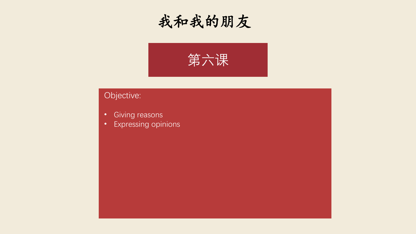



#### Objective:

- Giving reasons
- Expressing opinions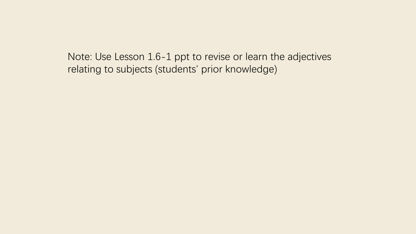Note: Use Lesson 1.6-1 ppt to revise or learn the adjectives relating to subjects (students' prior knowledge)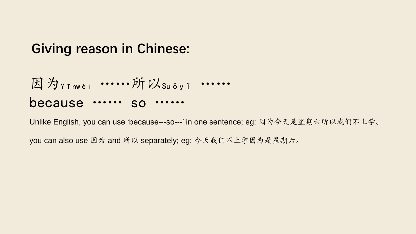#### **Giving reason in Chinese:**

$$
\text{B} \nmid \hat{\mathcal{H}}_{Y \text{inwèi}} \dots \hat{H} \nmid \hat{\mathcal{H}}_{S \text{uöy'i}} \dots \dots
$$
 because ... so ...

Unlike English, you can use 'because---so---' in one sentence; eg: 因为今天是星期六所以我们不上学。

you can also use 因为 and 所以 separately; eg: 今天我们不上学因为是星期六。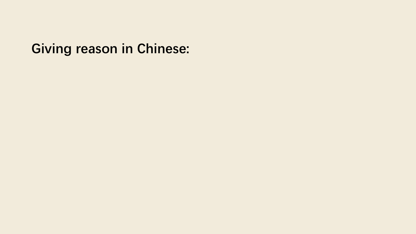## **Giving reason in Chinese:**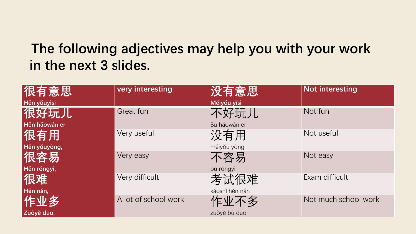#### **The following adjectives may help you with your work in the next 3 slides.**

| │很有意思∣<br>Hěn yǒuyìsi | very interesting     | 没有意思<br>Méiyǒu yìsi    | <b>Not interesting</b> |
|-----------------------|----------------------|------------------------|------------------------|
| 很好玩儿<br>Hěn hǎowán er | Great fun            | 不好玩儿<br>Bù hǎowán er   | Not fun                |
| 很有用<br>Hěn yǒuyòng,   | Very useful          | 没有用<br>mélyǒu yòng     | Not useful             |
| 很容易<br>Hěn róngyì,    | Very easy            | 不容易<br>bù róngyì       | Not easy               |
| 很难<br>Hěn nán,        | Very difficult       | 考试很难<br>kǎoshì hěn nán | Exam difficult         |
| 作业多<br>Zuòyè duō,     | A lot of school work | 作业不多<br>zuòyè bù duō   | Not much school work   |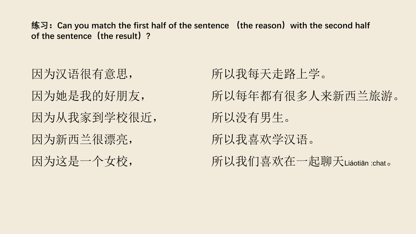**练习:Can you match the first half of the sentence (the reason)with the second half of the sentence(the result)?**

因为汉语很有意思, 因为她是我的好朋友, 因为从我家到学校很近, 因为新西兰很漂亮, 因为这是一个女校,

所以我每天走路上学。 所以每年都有很多人来新西兰旅游。 所以没有男生。 所以我喜欢学汉语。 所以我们喜欢在一起聊天Liáotiān :chat。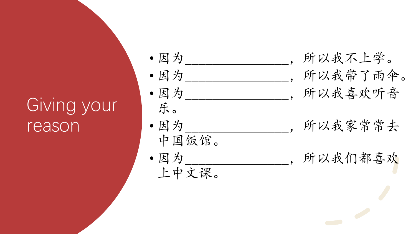# Giving your reason

- 因为\_\_\_\_\_\_\_\_\_\_\_\_\_\_\_\_,所以我不上学。
- 
- 乐。

中国饭馆。

- 因为\_\_\_\_\_\_\_\_\_\_\_\_\_\_\_\_\_,所以我带了雨伞。 • 因为\_\_\_\_\_\_\_\_\_\_\_\_\_\_\_,所以我喜欢听音
- 因为\_\_\_\_\_\_\_\_\_\_\_\_\_\_\_,所以我家常常去
	-
- 因为\_\_\_\_\_\_\_\_\_\_\_\_\_\_\_,所以我们都喜欢 上中文课。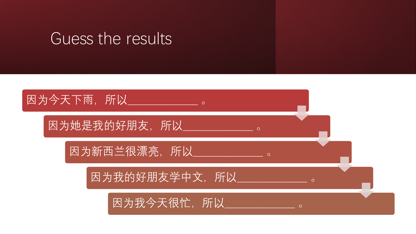### Guess the results

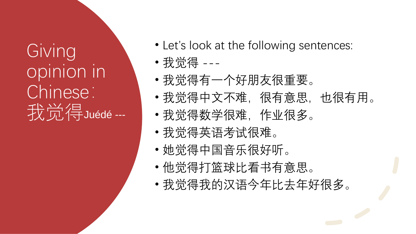Giving opinion in Chinese: 我觉得Juédé ---

- Let's look at the following sentences:
- 我觉得 ---
- 我觉得有一个好朋友很重要。
- 我觉得中文不难,很有意思,也很有用。
- 我觉得数学很难,作业很多。
- 我觉得英语考试很难。
- 她觉得中国音乐很好听。
- 他觉得打篮球比看书有意思。
- 我觉得我的汉语今年比去年好很多。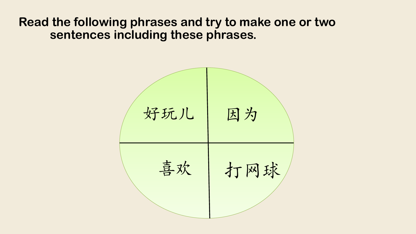#### **Read the following phrases and try to make one or two sentences including these phrases.**

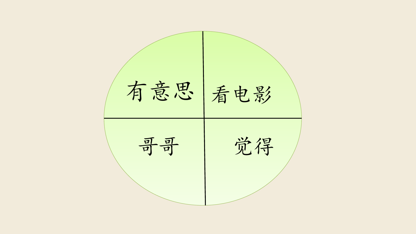有意思 看电影 哥哥 觉得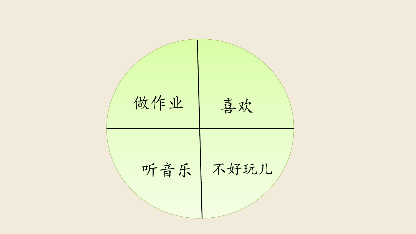做作业 喜欢 听音乐 不好玩儿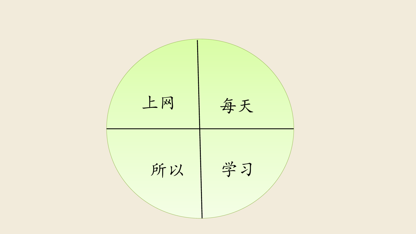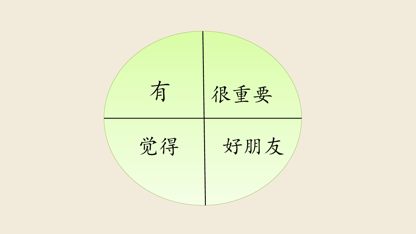有 很重要 觉得 好朋友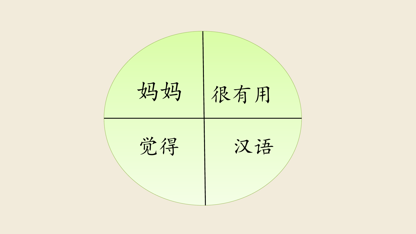妈妈 很有用 觉得 汉语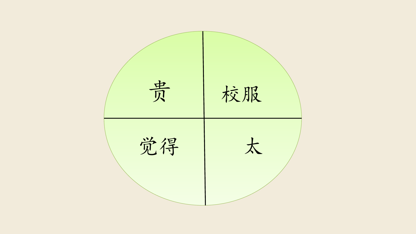